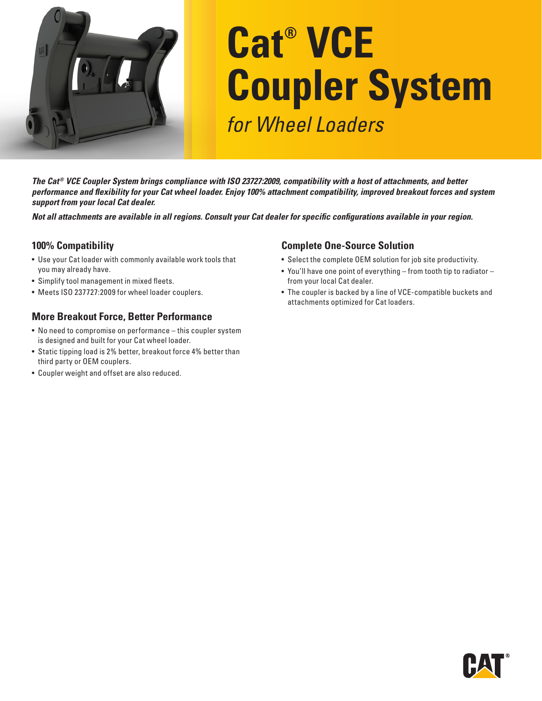

# **Cat® VCE Coupler System** *for Wheel Loaders*

*The Cat® VCE Coupler System brings compliance with ISO 23727:2009, compatibility with a host of attachments, and better performance and flexibility for your Cat wheel loader. Enjoy 100% attachment compatibility, improved breakout forces and system support from your local Cat dealer.*

*Not all attachments are available in all regions. Consult your Cat dealer for specific configurations available in your region.*

## **100% Compatibility**

- Use your Cat loader with commonly available work tools that you may already have.
- Simplify tool management in mixed fleets.
- Meets ISO 237727:2009 for wheel loader couplers.

## **More Breakout Force, Better Performance**

- No need to compromise on performance this coupler system is designed and built for your Cat wheel loader.
- Static tipping load is 2% better, breakout force 4% better than third party or OEM couplers.
- Coupler weight and offset are also reduced.

#### **Complete One-Source Solution**

- Select the complete OEM solution for job site productivity.
- You'll have one point of everything from tooth tip to radiator from your local Cat dealer.
- The coupler is backed by a line of VCE-compatible buckets and attachments optimized for Cat loaders.